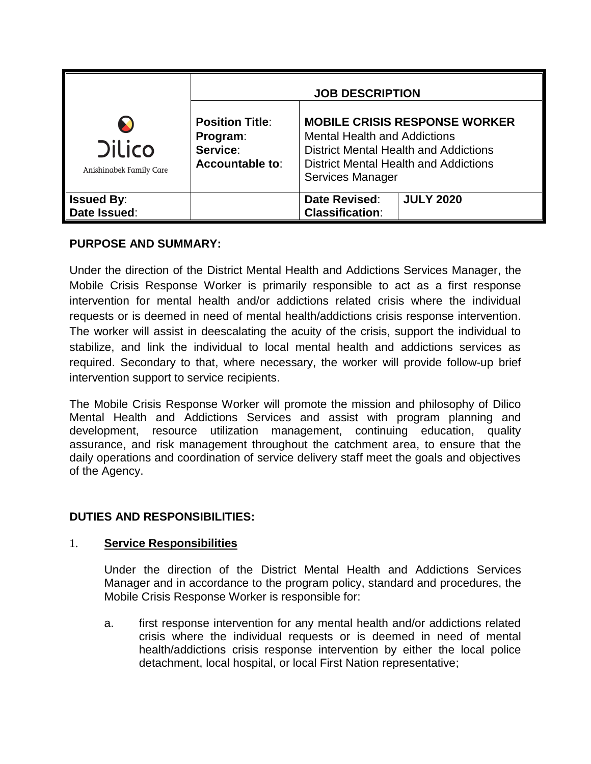|                                          | <b>JOB DESCRIPTION</b>                                            |                                                                                                                                                                                                 |                  |
|------------------------------------------|-------------------------------------------------------------------|-------------------------------------------------------------------------------------------------------------------------------------------------------------------------------------------------|------------------|
| <b>Dilico</b><br>Anishinabek Family Care | <b>Position Title:</b><br>Program:<br>Service:<br>Accountable to: | <b>MOBILE CRISIS RESPONSE WORKER</b><br><b>Mental Health and Addictions</b><br><b>District Mental Health and Addictions</b><br><b>District Mental Health and Addictions</b><br>Services Manager |                  |
| <b>Issued By:</b><br>Date Issued:        |                                                                   | Date Revised:<br><b>Classification:</b>                                                                                                                                                         | <b>JULY 2020</b> |

# **PURPOSE AND SUMMARY:**

Under the direction of the District Mental Health and Addictions Services Manager, the Mobile Crisis Response Worker is primarily responsible to act as a first response intervention for mental health and/or addictions related crisis where the individual requests or is deemed in need of mental health/addictions crisis response intervention. The worker will assist in deescalating the acuity of the crisis, support the individual to stabilize, and link the individual to local mental health and addictions services as required. Secondary to that, where necessary, the worker will provide follow-up brief intervention support to service recipients.

The Mobile Crisis Response Worker will promote the mission and philosophy of Dilico Mental Health and Addictions Services and assist with program planning and development, resource utilization management, continuing education, quality assurance, and risk management throughout the catchment area, to ensure that the daily operations and coordination of service delivery staff meet the goals and objectives of the Agency.

# **DUTIES AND RESPONSIBILITIES:**

# 1. **Service Responsibilities**

Under the direction of the District Mental Health and Addictions Services Manager and in accordance to the program policy, standard and procedures, the Mobile Crisis Response Worker is responsible for:

a. first response intervention for any mental health and/or addictions related crisis where the individual requests or is deemed in need of mental health/addictions crisis response intervention by either the local police detachment, local hospital, or local First Nation representative;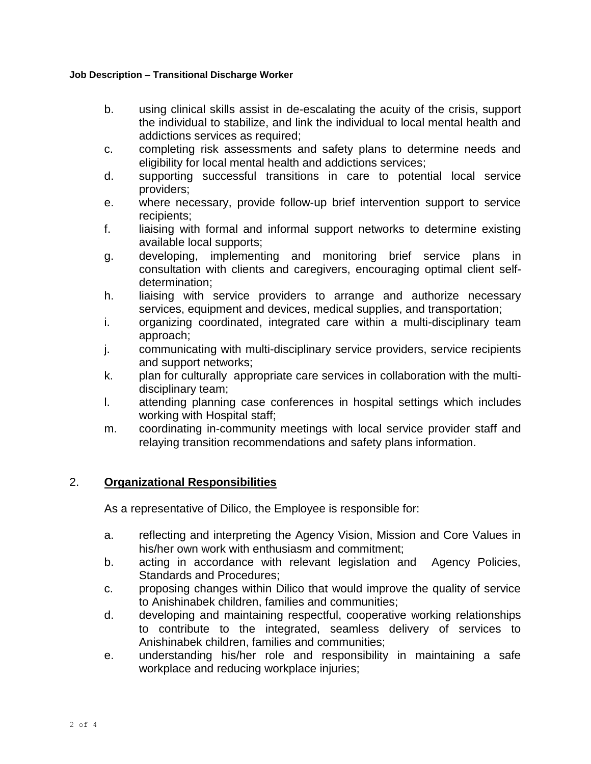#### **Job Description – Transitional Discharge Worker**

- b. using clinical skills assist in de-escalating the acuity of the crisis, support the individual to stabilize, and link the individual to local mental health and addictions services as required;
- c. completing risk assessments and safety plans to determine needs and eligibility for local mental health and addictions services;
- d. supporting successful transitions in care to potential local service providers;
- e. where necessary, provide follow-up brief intervention support to service recipients;
- f. liaising with formal and informal support networks to determine existing available local supports;
- g. developing, implementing and monitoring brief service plans in consultation with clients and caregivers, encouraging optimal client selfdetermination;
- h. liaising with service providers to arrange and authorize necessary services, equipment and devices, medical supplies, and transportation;
- i. organizing coordinated, integrated care within a multi-disciplinary team approach;
- j. communicating with multi-disciplinary service providers, service recipients and support networks;
- k. plan for culturally appropriate care services in collaboration with the multidisciplinary team;
- l. attending planning case conferences in hospital settings which includes working with Hospital staff;
- m. coordinating in-community meetings with local service provider staff and relaying transition recommendations and safety plans information.

# 2. **Organizational Responsibilities**

As a representative of Dilico, the Employee is responsible for:

- a. reflecting and interpreting the Agency Vision, Mission and Core Values in his/her own work with enthusiasm and commitment;
- b. acting in accordance with relevant legislation and Agency Policies, Standards and Procedures;
- c. proposing changes within Dilico that would improve the quality of service to Anishinabek children, families and communities;
- d. developing and maintaining respectful, cooperative working relationships to contribute to the integrated, seamless delivery of services to Anishinabek children, families and communities;
- e. understanding his/her role and responsibility in maintaining a safe workplace and reducing workplace injuries;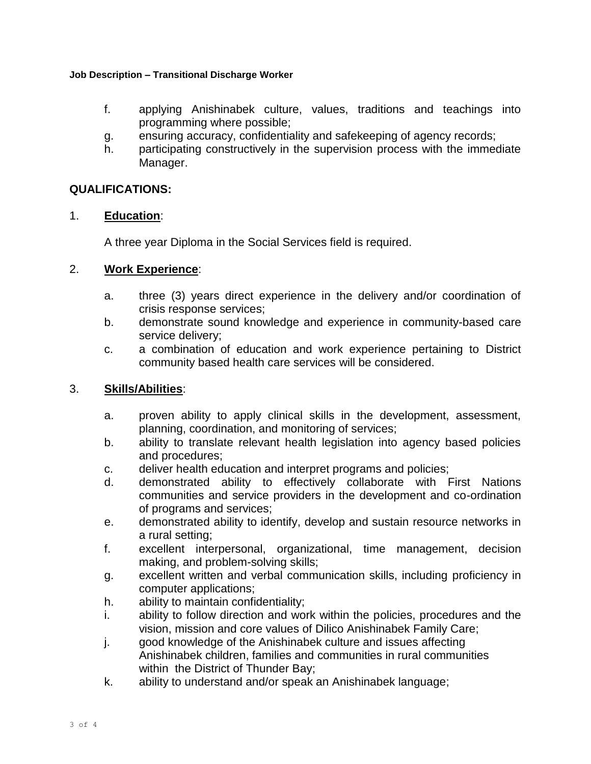#### **Job Description – Transitional Discharge Worker**

- f. applying Anishinabek culture, values, traditions and teachings into programming where possible;
- g. ensuring accuracy, confidentiality and safekeeping of agency records;
- h. participating constructively in the supervision process with the immediate Manager.

# **QUALIFICATIONS:**

# 1. **Education**:

A three year Diploma in the Social Services field is required.

# 2. **Work Experience**:

- a. three (3) years direct experience in the delivery and/or coordination of crisis response services;
- b. demonstrate sound knowledge and experience in community-based care service delivery;
- c. a combination of education and work experience pertaining to District community based health care services will be considered.

# 3. **Skills/Abilities**:

- a. proven ability to apply clinical skills in the development, assessment, planning, coordination, and monitoring of services;
- b. ability to translate relevant health legislation into agency based policies and procedures;
- c. deliver health education and interpret programs and policies;
- d. demonstrated ability to effectively collaborate with First Nations communities and service providers in the development and co-ordination of programs and services;
- e. demonstrated ability to identify, develop and sustain resource networks in a rural setting;
- f. excellent interpersonal, organizational, time management, decision making, and problem-solving skills;
- g. excellent written and verbal communication skills, including proficiency in computer applications;
- h. ability to maintain confidentiality;
- i. ability to follow direction and work within the policies, procedures and the vision, mission and core values of Dilico Anishinabek Family Care;
- j. good knowledge of the Anishinabek culture and issues affecting Anishinabek children, families and communities in rural communities within the District of Thunder Bay;
- k. ability to understand and/or speak an Anishinabek language;